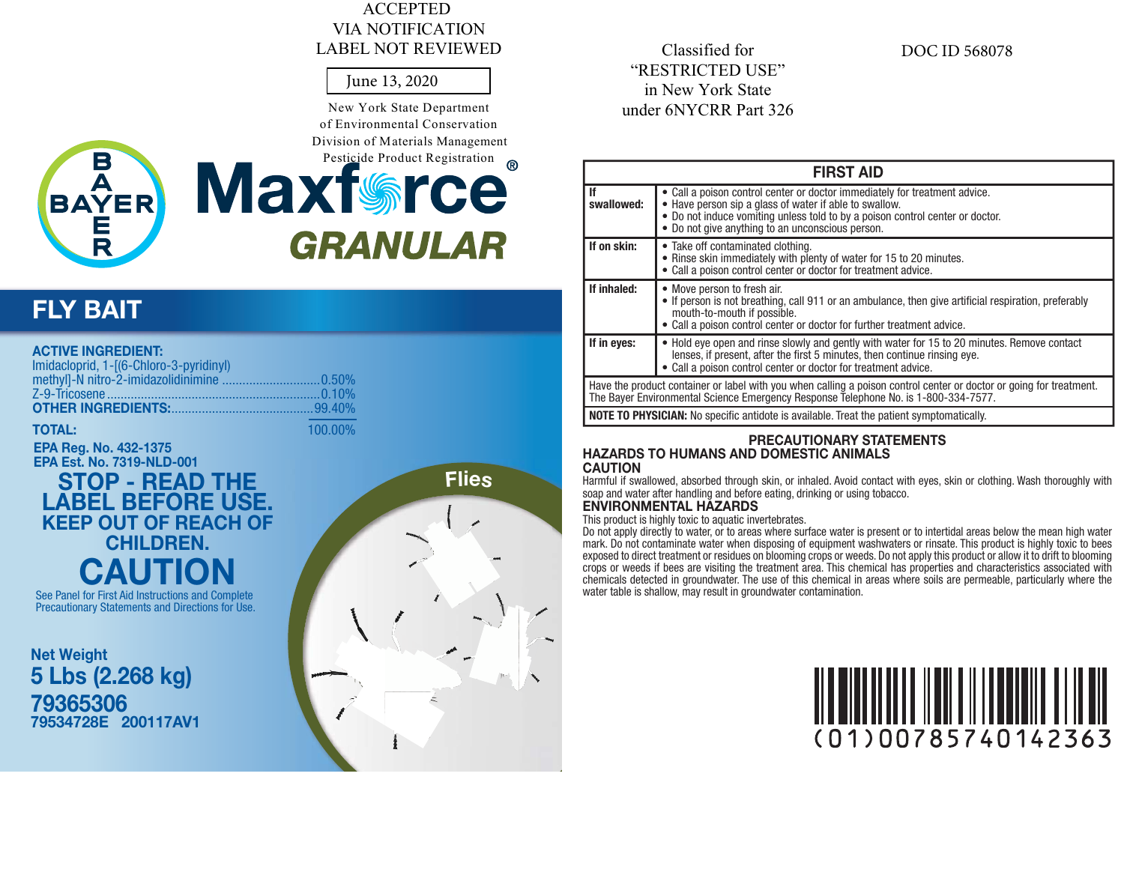### **ACCEPTED VIA NOTIFICATION LABEL NOT REVIEWED**

#### June 13, 2020

New York State Department of Environmental Conservation Division of Materials Management



# Pesticide Product Registration ® **Maxfrece GRANULAR**

# **FLY BAIT**

| <b>ACTIVE INGREDIENT:</b><br>Imidacloprid, 1-[(6-Chloro-3-pyridinyl) |         |
|----------------------------------------------------------------------|---------|
|                                                                      |         |
|                                                                      |         |
| <b>OTHER INGREDIENTS:</b> 07HER INGREDIENTS:                         |         |
| TOTAI                                                                | 100,00% |

**EPA Reg. No. 432-1375 EPA Est. No. 7319-NLD-001** 

# STOP - READ THE<br>LABEL BEFORE USE. **KEEP OUT OF REACH OF CHILDREN.**

See Panel for First Aid Instructions and Complete Precautionary Statements and Directions for Use.

**Net Weight** 5 Lbs (2.268 kg) 79365306 79534728E 200117AV1 **Flies** 

Classified for "RESTRICTED USE" in New York State under 6NYCRR Part 326

#### **DOCID 568078**

| <b>FIRST AID</b> |                                                                                                                                                                                                                                                                           |  |
|------------------|---------------------------------------------------------------------------------------------------------------------------------------------------------------------------------------------------------------------------------------------------------------------------|--|
| lf<br>swallowed: | • Call a poison control center or doctor immediately for treatment advice.<br>• Have person sip a glass of water if able to swallow.<br>• Do not induce vomiting unless told to by a poison control center or doctor.<br>• Do not give anything to an unconscious person. |  |
| If on skin:      | • Take off contaminated clothing.<br>• Rinse skin immediately with plenty of water for 15 to 20 minutes.<br>• Call a poison control center or doctor for treatment advice.                                                                                                |  |
| If inhaled:      | • Move person to fresh air.<br>• If person is not breathing, call 911 or an ambulance, then give artificial respiration, preferably<br>mouth-to-mouth if possible.<br>• Call a poison control center or doctor for further treatment advice.                              |  |
| If in eyes:      | • Hold eye open and rinse slowly and gently with water for 15 to 20 minutes. Remove contact<br>lenses, if present, after the first 5 minutes, then continue rinsing eye.<br>• Call a poison control center or doctor for treatment advice.                                |  |
|                  | Have the product container or label with you when calling a poison control center or doctor or going for treatment.<br>The Bayer Environmental Science Emergency Response Telephone No. is 1-800-334-7577.                                                                |  |
|                  | <b>NOTE TO PHYSICIAN:</b> No specific antidote is available. Treat the patient symptomatically.                                                                                                                                                                           |  |

### **PRECAUTIONARY STATEMENTS HAZARDS TO HUMANS AND DOMESTIC ANIMALS**

**CAUTION** 

Harmful if swallowed, absorbed through skin, or inhaled. Avoid contact with eyes, skin or clothing. Wash thoroughly with soap and water after handling and before eating, drinking or using tobacco.

## **ENVIRONMENTAL HAZARDS**

This product is highly toxic to aquatic invertebrates.

This product is nightly directly to water, or to areas where surface water is present or to intertidal areas below the mean high water<br>mark. Do not contaminate water or to areas where surface water is present or to interti chemicals detected in groundwater. The use of this chemical in areas where soils are permeable, particularly where the water table is shallow, may result in groundwater contamination.